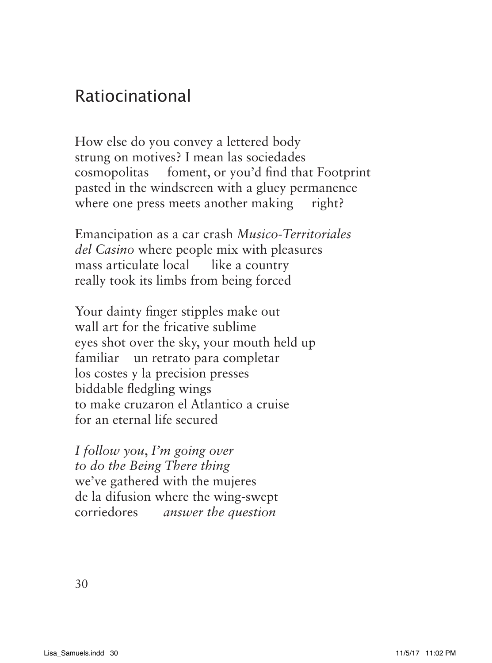## Ratiocinational

How else do you convey a lettered body strung on motives? I mean las sociedades cosmopolitas foment, or you'd fnd that Footprint pasted in the windscreen with a gluey permanence where one press meets another making right?

Emancipation as a car crash *Musico-Territoriales del Casino* where people mix with pleasures mass articulate local like a country really took its limbs from being forced

Your dainty fnger stipples make out wall art for the fricative sublime eyes shot over the sky, your mouth held up familiar un retrato para completar los costes y la precision presses biddable fedgling wings to make cruzaron el Atlantico a cruise for an eternal life secured

*I follow you*, *I'm going over to do the Being There thing* we've gathered with the mujeres de la difusion where the wing-swept corriedores *answer the question*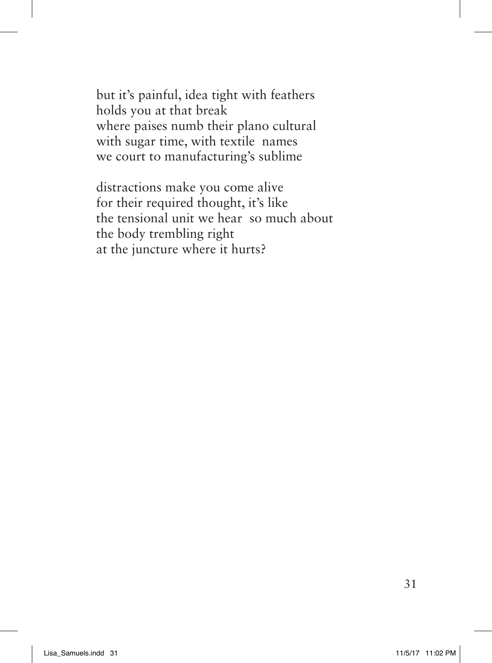but it's painful, idea tight with feathers holds you at that break where paises numb their plano cultural with sugar time, with textile names we court to manufacturing's sublime

distractions make you come alive for their required thought, it's like the tensional unit we hear so much about the body trembling right at the juncture where it hurts?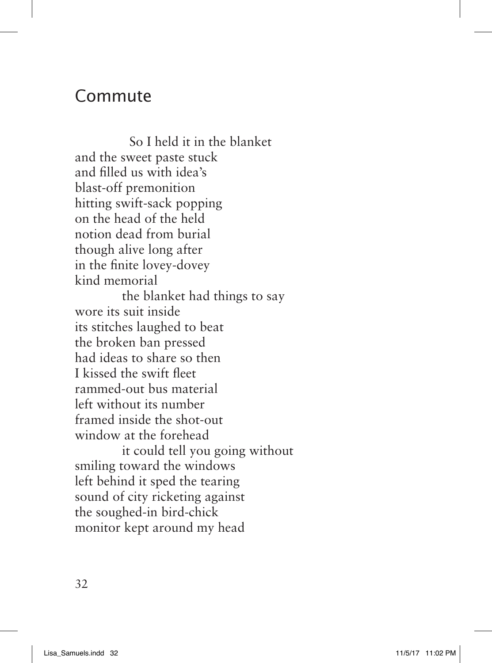## Commute

 So I held it in the blanket and the sweet paste stuck and flled us with idea's blast-off premonition hitting swift-sack popping on the head of the held notion dead from burial though alive long after in the fnite lovey-dovey kind memorial the blanket had things to say wore its suit inside its stitches laughed to beat the broken ban pressed had ideas to share so then I kissed the swift feet rammed-out bus material left without its number framed inside the shot-out window at the forehead it could tell you going without smiling toward the windows left behind it sped the tearing sound of city ricketing against the soughed-in bird-chick monitor kept around my head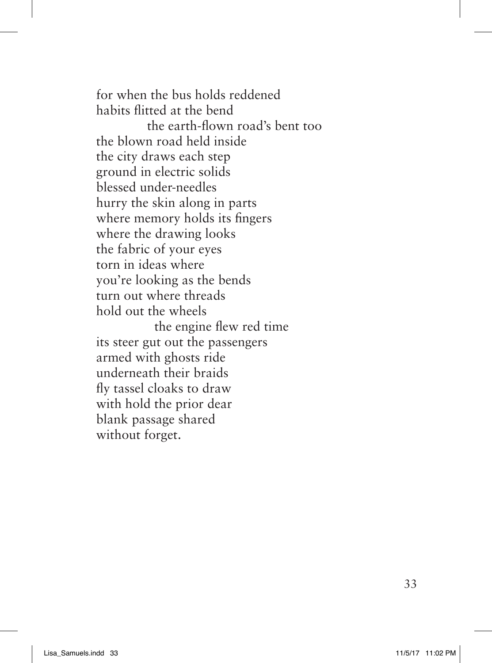for when the bus holds reddened habits fitted at the bend the earth-fown road's bent too the blown road held inside the city draws each step ground in electric solids blessed under-needles hurry the skin along in parts where memory holds its fngers where the drawing looks the fabric of your eyes torn in ideas where you're looking as the bends turn out where threads hold out the wheels the engine few red time its steer gut out the passengers armed with ghosts ride underneath their braids fy tassel cloaks to draw with hold the prior dear blank passage shared without forget.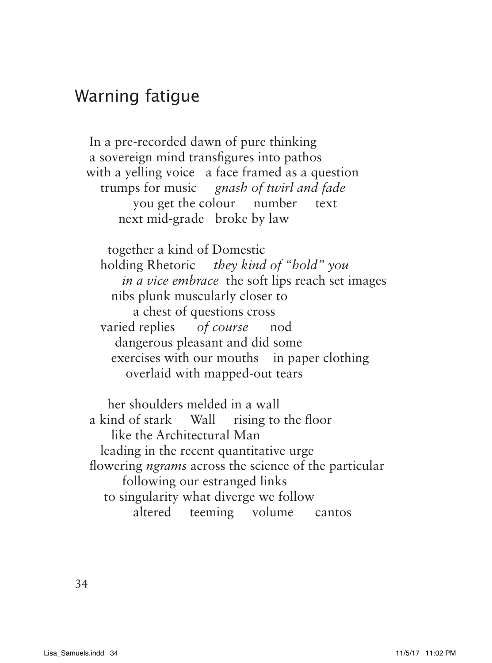## Warning fatigue

 In a pre-recorded dawn of pure thinking a sovereign mind transfgures into pathos with a yelling voice a face framed as a question trumps for music *gnash of twirl and fade* you get the colour number text next mid-grade broke by law

 together a kind of Domestic holding Rhetoric *they kind of "hold" you in a vice embrace* the soft lips reach set images nibs plunk muscularly closer to a chest of questions cross varied replies *of course* nod dangerous pleasant and did some exercises with our mouths in paper clothing overlaid with mapped-out tears

 her shoulders melded in a wall a kind of stark Wall rising to the foor like the Architectural Man leading in the recent quantitative urge flowering *ngrams* across the science of the particular following our estranged links to singularity what diverge we follow altered teeming volume cantos